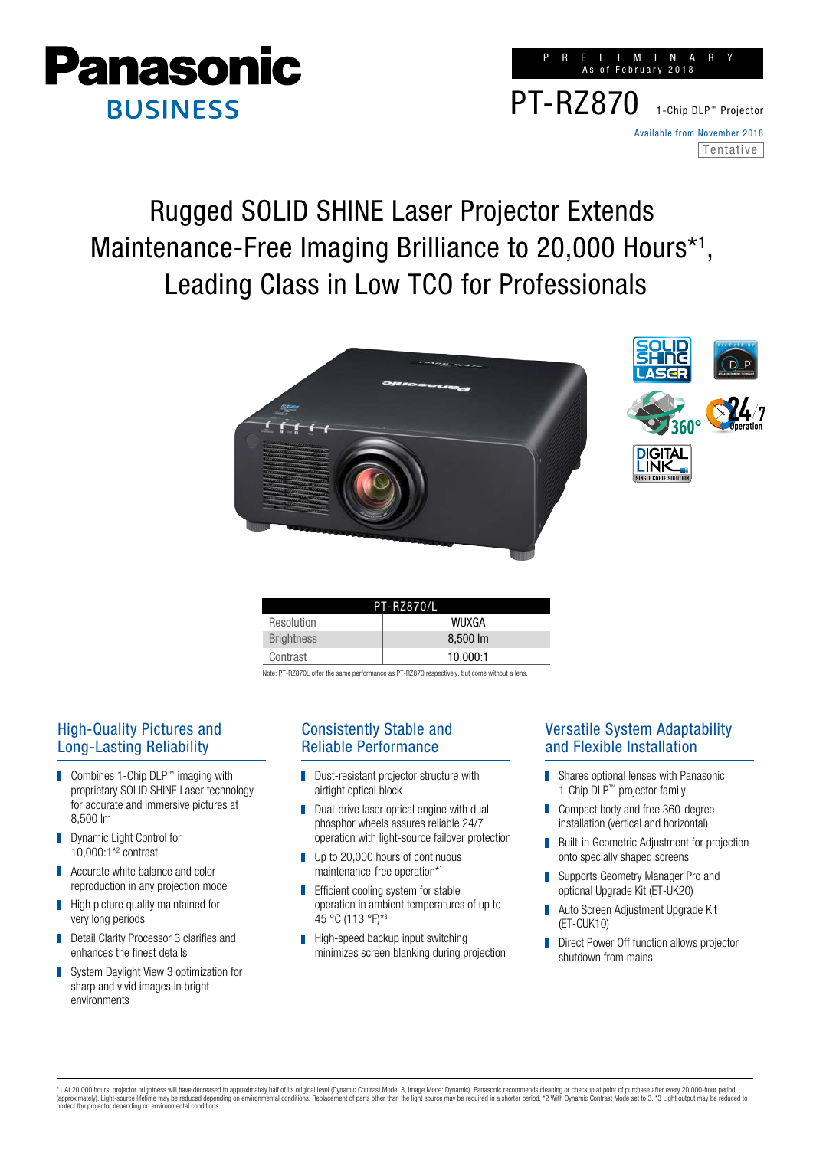

|                                             |  |  | RELIMINARY<br>As of February 2018 |  |  |                              |  |
|---------------------------------------------|--|--|-----------------------------------|--|--|------------------------------|--|
| PT-RZ870 1-Chip DLP <sup>TM</sup> Projector |  |  |                                   |  |  |                              |  |
|                                             |  |  |                                   |  |  | Available from November 2018 |  |
|                                             |  |  |                                   |  |  | Tentative                    |  |

# Rugged SOLID SHINE Laser Projector Extends Maintenance-Free Imaging Brilliance to 20,000 Hours<sup>\*1</sup>, Leading Class in Low TCO for Professionals





| <b>PT-RZ870/L</b> |               |  |  |  |  |
|-------------------|---------------|--|--|--|--|
| Resolution        | <b>WIJXGA</b> |  |  |  |  |
| <b>Brightness</b> | 8,500 lm      |  |  |  |  |
| Contrast          | 10.000:1      |  |  |  |  |

Note: PT-RZ870L offer the same performance as PT-RZ870 respectively, but come without a lens

## High-Quality Pictures and Long-Lasting Reliability

- Combines 1-Chip DLP™ imaging with proprietary SOLID SHINE Laser technology for accurate and immersive pictures at 8,500 lm
- Dynamic Light Control for П 10,000:1\*2 contrast
- Accurate white balance and color П reproduction in any projection mode
- High picture quality maintained for П very long periods
- Detail Clarity Processor 3 clarifies and enhances the finest details
- System Daylight View 3 optimization for П sharp and vivid images in bright environments

#### Consistently Stable and Reliable Performance

- П Dust-resistant projector structure with airtight optical block
- Dual-drive laser optical engine with dual П phosphor wheels assures reliable 24/7 operation with light-source failover protection
- Up to 20,000 hours of continuous П maintenance-free operation\*1
- П Efficient cooling system for stable operation in ambient temperatures of up to 45 °C (113 °F)\*3
- $\blacksquare$  High-speed backup input switching minimizes screen blanking during projection

### Versatile System Adaptability and Flexible Installation

- П Shares optional lenses with Panasonic 1-Chip DLP™ projector family
- Compact body and free 360-degree П installation (vertical and horizontal)
- Built-in Geometric Adjustment for projection onto specially shaped screens
- Supports Geometry Manager Pro and optional Upgrade Kit (ET-UK20)
- Auto Screen Adjustment Upgrade Kit (ET-CUK10)
- Direct Power Off function allows projector П shutdown from mains

\*1 At 20,000 hours, projector brightness will have decreased to approximately half of its original level (Dynamic Contrast Mode: 3, Image Mode: Dynamic). Panasonic recommends cleaning or checkup at point of purchase after